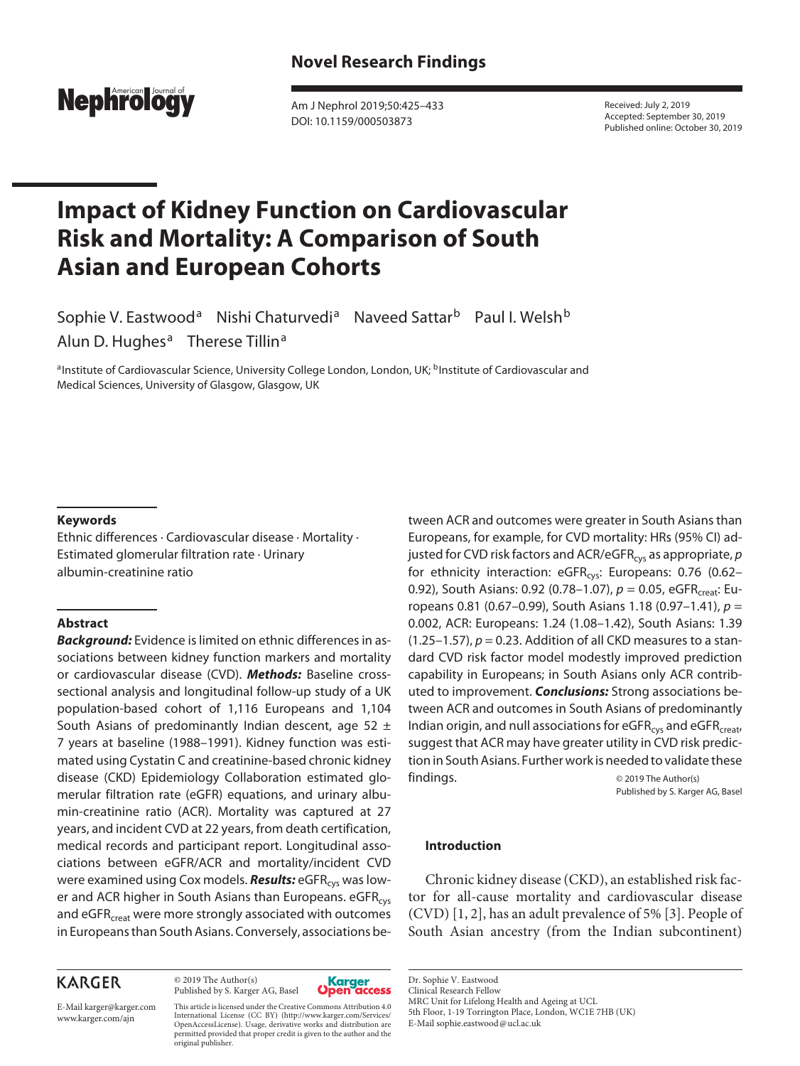

Am J Nephrol 2019;50:425–433 DOI: 10.1159/000503873

Received: July 2, 2019 Accepted: September 30, 2019 Published online: October 30, 2019

# **Impact of Kidney Function on Cardiovascular Risk and Mortality: A Comparison of South Asian and European Cohorts**

Sophie V. Eastwood<sup>a</sup> Nishi Chaturvedi<sup>a</sup> Naveed Sattar<sup>b</sup> Paul I. Welsh<sup>b</sup> Alun D. Hughes<sup>a</sup> Therese Tillin<sup>a</sup>

aInstitute of Cardiovascular Science, University College London, London, UK; <sup>b</sup>Institute of Cardiovascular and Medical Sciences, University of Glasgow, Glasgow, UK

#### **Keywords**

Ethnic differences · Cardiovascular disease · Mortality · Estimated glomerular filtration rate · Urinary albumin-creatinine ratio

## **Abstract**

*Background:* Evidence is limited on ethnic differences in associations between kidney function markers and mortality or cardiovascular disease (CVD). *Methods:* Baseline crosssectional analysis and longitudinal follow-up study of a UK population-based cohort of 1,116 Europeans and 1,104 South Asians of predominantly Indian descent, age 52  $\pm$ 7 years at baseline (1988–1991). Kidney function was estimated using Cystatin C and creatinine-based chronic kidney disease (CKD) Epidemiology Collaboration estimated glomerular filtration rate (eGFR) equations, and urinary albumin-creatinine ratio (ACR). Mortality was captured at 27 years, and incident CVD at 22 years, from death certification, medical records and participant report. Longitudinal associations between eGFR/ACR and mortality/incident CVD were examined using Cox models. **Results:** eGFR<sub>cys</sub> was lower and ACR higher in South Asians than Europeans. eGFR<sub>cys</sub> and eGFR<sub>creat</sub> were more strongly associated with outcomes in Europeans than South Asians. Conversely, associations be-

## tween ACR and outcomes were greater in South Asians than Europeans, for example, for CVD mortality: HRs (95% CI) adjusted for CVD risk factors and ACR/eGFR<sub>cys</sub> as appropriate, *p* for ethnicity interaction: eGFR<sub>cys</sub>: Europeans: 0.76 (0.62-0.92), South Asians: 0.92 (0.78-1.07),  $p = 0.05$ , eGFR<sub>creat</sub>: Europeans 0.81 (0.67–0.99), South Asians 1.18 (0.97–1.41), *p* = 0.002, ACR: Europeans: 1.24 (1.08–1.42), South Asians: 1.39  $(1.25-1.57)$ ,  $p = 0.23$ . Addition of all CKD measures to a standard CVD risk factor model modestly improved prediction capability in Europeans; in South Asians only ACR contributed to improvement. *Conclusions:* Strong associations between ACR and outcomes in South Asians of predominantly Indian origin, and null associations for  $eGFR<sub>cvs</sub>$  and  $eGFR<sub>creat</sub>$ , suggest that ACR may have greater utility in CVD risk prediction in South Asians. Further work is needed to validate these findings.  $\qquad \qquad \circ$  2019 The Author(s)

<span id="page-0-1"></span>Published by S. Karger AG, Basel

## **Introduction**

<span id="page-0-0"></span>Chronic kidney disease (CKD), an established risk factor for all-cause mortality and cardiovascular disease (CVD) [[1,](#page-7-0) [2\]](#page-7-1), has an adult prevalence of 5% [\[3\]](#page-7-2). People of South Asian ancestry (from the Indian subcontinent)

## **KARGER**

© 2019 The Author(s) Published by S. Karger AG, Basel



E-Mail karger@karger.com www.karger.com/ajn

This article is licensed under the Creative Commons Attribution 4.0 International License (CC BY) (http://www.karger.com/Services/ OpenAccessLicense). Usage, derivative works and distribution are permitted provided that proper credit is given to the author and the original publisher.

Dr. Sophie V. Eastwood Clinical Research Fellow

MRC Unit for Lifelong Health and Ageing at UCL

E-Mail sophie.eastwood@ucl.ac.uk

<sup>5</sup>th Floor, 1-19 Torrington Place, London, WC1E 7HB (UK)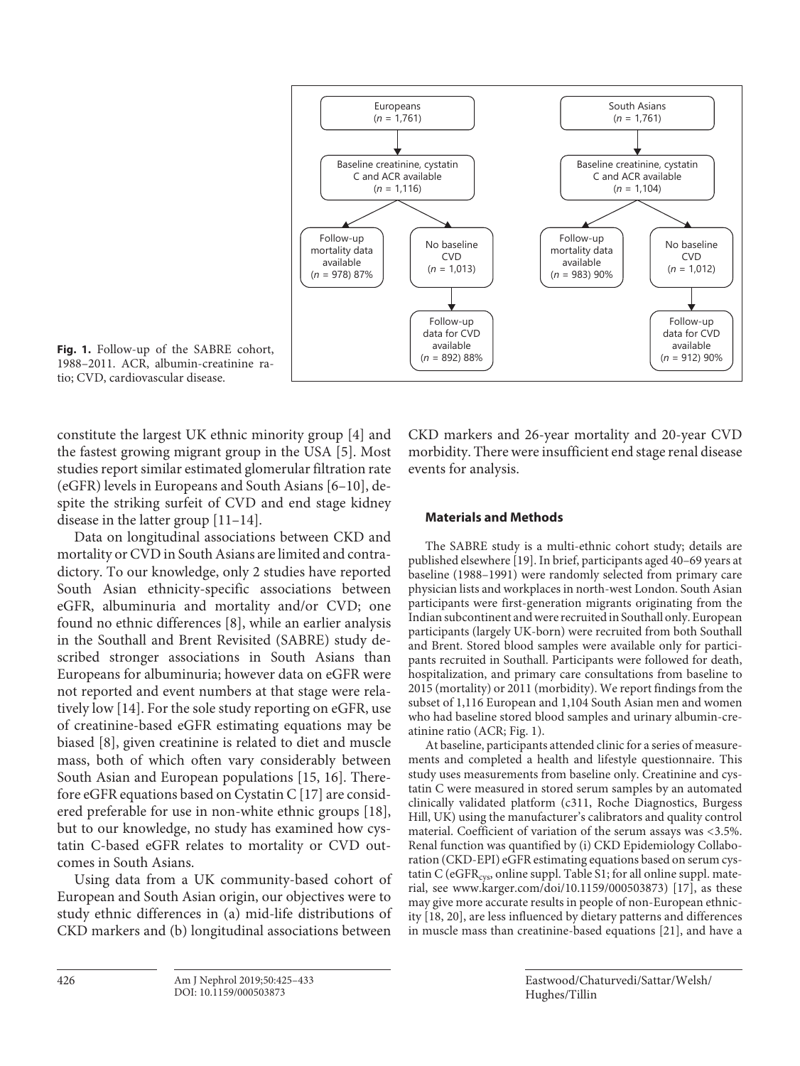

**Fig. 1.** Follow-up of the SABRE cohort, 1988–2011. ACR, albumin-creatinine ratio; CVD, cardiovascular disease.

constitute the largest UK ethnic minority group [[4\]](#page-7-3) and the fastest growing migrant group in the USA [[5](#page-7-4)]. Most studies report similar estimated glomerular filtration rate (eGFR) levels in Europeans and South Asians [[6](#page-7-5)–[1](#page-7-0)0], despite the striking surfeit of CVD and end stage kidney disease in the latter group [\[11–1](#page-7-0)[4](#page-7-3)].

Data on longitudinal associations between CKD and mortality or CVD in South Asians are limited and contradictory. To our knowledge, only 2 studies have reported South Asian ethnicity-specific associations between eGFR, albuminuria and mortality and/or CVD; one found no ethnic differences [\[8\]](#page-8-0), while an earlier analysis in the Southall and Brent Revisited (SABRE) study described stronger associations in South Asians than Europeans for albuminuria; however data on eGFR were not reported and event numbers at that stage were relatively low [[1](#page-7-0)[4](#page-7-3)]. For the sole study reporting on eGFR, use of creatinine-based eGFR estimating equations may be biased [\[8](#page-8-0)], given creatinine is related to diet and muscle mass, both of which often vary considerably between South Asian and European populations [\[1](#page-7-0)[5,](#page-7-4) [1](#page-7-0)[6\]](#page-7-5). Therefore eGFR equations based on Cystatin C [\[1](#page-7-0)[7](#page-8-1)] are considered preferable for use in non-white ethnic groups [\[1](#page-7-0)[8\]](#page-8-0), but to our knowledge, no study has examined how cystatin C-based eGFR relates to mortality or CVD outcomes in South Asians.

Using data from a UK community-based cohort of European and South Asian origin, our objectives were to study ethnic differences in (a) mid-life distributions of CKD markers and (b) longitudinal associations between

CKD markers and 26-year mortality and 20-year CVD morbidity. There were insufficient end stage renal disease events for analysis.

## <span id="page-1-7"></span><span id="page-1-2"></span><span id="page-1-1"></span><span id="page-1-0"></span>**Materials and Methods**

<span id="page-1-3"></span>The SABRE study is a multi-ethnic cohort study; details are published elsewhere [\[1](#page-7-0)[9](#page-8-2)]. In brief, participants aged 40–69 years at baseline (1988–1991) were randomly selected from primary care physician lists and workplaces in north-west London. South Asian participants were first-generation migrants originating from the Indian subcontinent and were recruited in Southall only. European participants (largely UK-born) were recruited from both Southall and Brent. Stored blood samples were available only for participants recruited in Southall. Participants were followed for death, hospitalization, and primary care consultations from baseline to 2015 (mortality) or 2011 (morbidity). We report findings from the subset of 1,116 European and 1,104 South Asian men and women who had baseline stored blood samples and urinary albumin-creatinine ratio (ACR; Fig. 1).

<span id="page-1-9"></span><span id="page-1-8"></span><span id="page-1-6"></span><span id="page-1-5"></span><span id="page-1-4"></span>At baseline, participants attended clinic for a series of measurements and completed a health and lifestyle questionnaire. This study uses measurements from baseline only. Creatinine and cystatin C were measured in stored serum samples by an automated clinically validated platform (c311, Roche Diagnostics, Burgess Hill, UK) using the manufacturer's calibrators and quality control material. Coefficient of variation of the serum assays was <3.5%. Renal function was quantified by (i) CKD Epidemiology Collaboration (CKD-EPI) eGFR estimating equations based on serum cystatin C ( $eGFR_{cys}$ , online suppl. Table S1; for all online suppl. material, see www.karger.com/doi/10.1159/000503873) [\[1](#page-7-0)[7](#page-8-1)], as these may give more accurate results in people of non-European ethnicity [\[1](#page-7-0)[8](#page-8-0), [2](#page-7-1)0], are less influenced by dietary patterns and differences in muscle mass than creatinine-based equations [\[2](#page-7-1)[1](#page-7-0)], and have a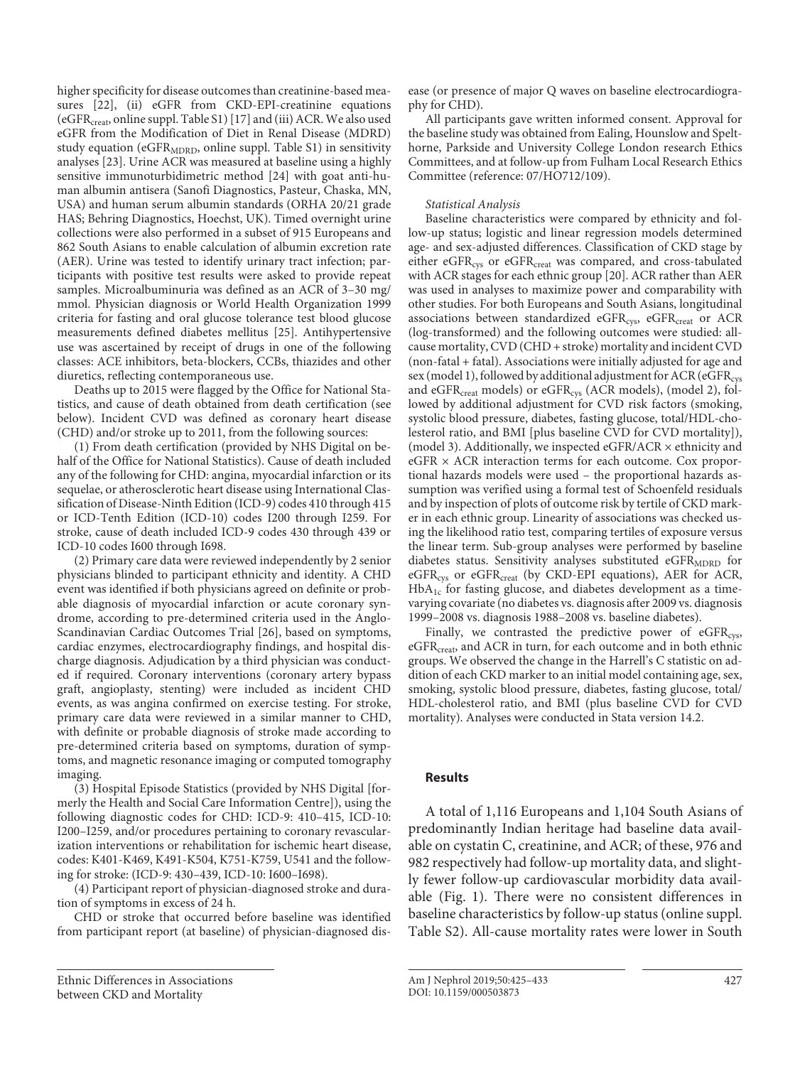<span id="page-2-1"></span><span id="page-2-0"></span>higher specificity for disease outcomes than creatinine-based measures [[22\]](#page-7-1), (ii) eGFR from CKD-EPI-creatinine equations (eGFR<sub>creat</sub>, online suppl. Table S[1](#page-7-0)) [1[7\]](#page-8-1) and (iii) ACR. We also used eGFR from the Modification of Diet in Renal Disease (MDRD) study equation ( $eGFR<sub>MDRD</sub>$ , online suppl. Table S1) in sensitivity analyses [\[2](#page-7-1)[3](#page-7-2)]. Urine ACR was measured at baseline using a highly sensitive immunoturbidimetric method [\[2](#page-7-1)[4](#page-7-3)] with goat anti-human albumin antisera (Sanofi Diagnostics, Pasteur, Chaska, MN, USA) and human serum albumin standards (ORHA 20/21 grade HAS; Behring Diagnostics, Hoechst, UK). Timed overnight urine collections were also performed in a subset of 915 Europeans and 862 South Asians to enable calculation of albumin excretion rate (AER). Urine was tested to identify urinary tract infection; participants with positive test results were asked to provide repeat samples. Microalbuminuria was defined as an ACR of 3–30 mg/ mmol. Physician diagnosis or World Health Organization 1999 criteria for fasting and oral glucose tolerance test blood glucose measurements defined diabetes mellitus [\[2](#page-7-1)[5](#page-7-4)]. Antihypertensive use was ascertained by receipt of drugs in one of the following classes: ACE inhibitors, beta-blockers, CCBs, thiazides and other diuretics, reflecting contemporaneous use.

Deaths up to 2015 were flagged by the Office for National Statistics, and cause of death obtained from death certification (see below). Incident CVD was defined as coronary heart disease (CHD) and/or stroke up to 2011, from the following sources:

(1) From death certification (provided by NHS Digital on behalf of the Office for National Statistics). Cause of death included any of the following for CHD: angina, myocardial infarction or its sequelae, or atherosclerotic heart disease using International Classification of Disease-Ninth Edition (ICD-9) codes 410 through 415 or ICD-Tenth Edition (ICD-10) codes I200 through I259. For stroke, cause of death included ICD-9 codes 430 through 439 or ICD-10 codes I600 through I698.

(2) Primary care data were reviewed independently by 2 senior physicians blinded to participant ethnicity and identity. A CHD event was identified if both physicians agreed on definite or probable diagnosis of myocardial infarction or acute coronary syndrome, according to pre-determined criteria used in the Anglo-Scandinavian Cardiac Outcomes Trial [\[2](#page-7-1)[6](#page-7-5)], based on symptoms, cardiac enzymes, electrocardiography findings, and hospital discharge diagnosis. Adjudication by a third physician was conducted if required. Coronary interventions (coronary artery bypass graft, angioplasty, stenting) were included as incident CHD events, as was angina confirmed on exercise testing. For stroke, primary care data were reviewed in a similar manner to CHD, with definite or probable diagnosis of stroke made according to pre-determined criteria based on symptoms, duration of symptoms, and magnetic resonance imaging or computed tomography imaging.

(3) Hospital Episode Statistics (provided by NHS Digital [formerly the Health and Social Care Information Centre]), using the following diagnostic codes for CHD: ICD-9: 410–415, ICD-10: I200–I259, and/or procedures pertaining to coronary revascularization interventions or rehabilitation for ischemic heart disease, codes: K401-K469, K491-K504, K751-K759, U541 and the following for stroke: (ICD-9: 430–439, ICD-10: I600–I698).

(4) Participant report of physician-diagnosed stroke and duration of symptoms in excess of 24 h.

CHD or stroke that occurred before baseline was identified from participant report (at baseline) of physician-diagnosed dis-

Ethnic Differences in Associations between CKD and Mortality

ease (or presence of major Q waves on baseline electrocardiography for CHD).

All participants gave written informed consent. Approval for the baseline study was obtained from Ealing, Hounslow and Spelthorne, Parkside and University College London research Ethics Committees, and at follow-up from Fulham Local Research Ethics Committee (reference: 07/HO712/109).

## <span id="page-2-2"></span>*Statistical Analysis*

<span id="page-2-3"></span>Baseline characteristics were compared by ethnicity and follow-up status; logistic and linear regression models determined age- and sex-adjusted differences. Classification of CKD stage by either eGFR<sub>cys</sub> or eGFR<sub>creat</sub> was compared, and cross-tabulated with ACR stages for each ethnic group [[2](#page-7-1)0]. ACR rather than AER was used in analyses to maximize power and comparability with other studies. For both Europeans and South Asians, longitudinal associations between standardized eGFR $_{\rm{cys}}$ , eGFR $_{\rm{creat}}$  or ACR (log-transformed) and the following outcomes were studied: allcause mortality, CVD (CHD + stroke) mortality and incident CVD (non-fatal + fatal). Associations were initially adjusted for age and sex (model 1), followed by additional adjustment for ACR (eGFR<sub>cys</sub> and eGFR $_{\text{create}}$  models) or eGFR $_{\text{cys}}$  (ACR models), (model 2), followed by additional adjustment for CVD risk factors (smoking, systolic blood pressure, diabetes, fasting glucose, total/HDL-cholesterol ratio, and BMI [plus baseline CVD for CVD mortality]), (model 3). Additionally, we inspected eGFR/ACR  $\times$  ethnicity and eGFR × ACR interaction terms for each outcome. Cox proportional hazards models were used – the proportional hazards assumption was verified using a formal test of Schoenfeld residuals and by inspection of plots of outcome risk by tertile of CKD marker in each ethnic group. Linearity of associations was checked using the likelihood ratio test, comparing tertiles of exposure versus the linear term. Sub-group analyses were performed by baseline diabetes status. Sensitivity analyses substituted  $eGFR<sub>MDRD</sub>$  for eGFR<sub>cys</sub> or eGFR<sub>creat</sub> (by CKD-EPI equations), AER for ACR,  $HbA_{1c}$  for fasting glucose, and diabetes development as a timevarying covariate (no diabetes vs. diagnosis after 2009 vs. diagnosis 1999–2008 vs. diagnosis 1988–2008 vs. baseline diabetes).

<span id="page-2-4"></span>Finally, we contrasted the predictive power of  $eGFR<sub>cys</sub>$ , eGFR<sub>creat</sub>, and ACR in turn, for each outcome and in both ethnic groups. We observed the change in the Harrell's C statistic on addition of each CKD marker to an initial model containing age, sex, smoking, systolic blood pressure, diabetes, fasting glucose, total/ HDL-cholesterol ratio, and BMI (plus baseline CVD for CVD mortality). Analyses were conducted in Stata version 14.2.

## **Results**

A total of 1,116 Europeans and 1,104 South Asians of predominantly Indian heritage had baseline data available on cystatin C, creatinine, and ACR; of these, 976 and 982 respectively had follow-up mortality data, and slightly fewer follow-up cardiovascular morbidity data available (Fig. 1). There were no consistent differences in baseline characteristics by follow-up status (online suppl. Table S2). All-cause mortality rates were lower in South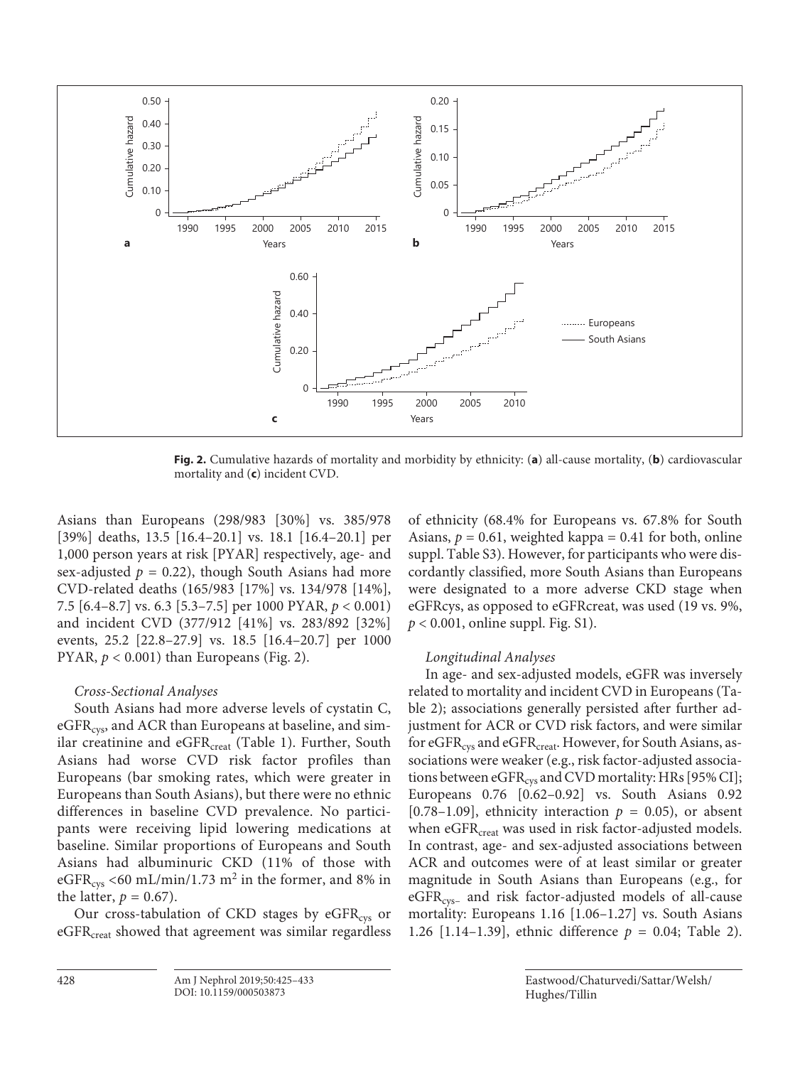

**Fig. 2.** Cumulative hazards of mortality and morbidity by ethnicity: (**a**) all-cause mortality, (**b**) cardiovascular mortality and (**c**) incident CVD.

Asians than Europeans (298/983 [30%] vs. 385/978 [39%] deaths, 13.5 [16.4–20.1] vs. 18.1 [16.4–20.1] per 1,000 person years at risk [PYAR] respectively, age- and sex-adjusted  $p = 0.22$ ), though South Asians had more CVD-related deaths (165/983 [17%] vs. 134/978 [14%], 7.5 [6.4–8.7] vs. 6.3 [5.3–7.5] per 1000 PYAR, *p* < 0.001) and incident CVD (377/912 [41%] vs. 283/892 [32%] events, 25.2 [22.8–27.9] vs. 18.5 [16.4–20.7] per 1000 PYAR,  $p < 0.001$ ) than Europeans (Fig. 2).

## *Cross-Sectional Analyses*

South Asians had more adverse levels of cystatin C, eGFR<sub>cys</sub>, and ACR than Europeans at baseline, and similar creatinine and  $eGFR_{\text{creat}}$  (Table 1). Further, South Asians had worse CVD risk factor profiles than Europeans (bar smoking rates, which were greater in Europeans than South Asians), but there were no ethnic differences in baseline CVD prevalence. No participants were receiving lipid lowering medications at baseline. Similar proportions of Europeans and South Asians had albuminuric CKD (11% of those with eGFR<sub>cys</sub> <60 mL/min/1.73 m<sup>2</sup> in the former, and 8% in the latter,  $p = 0.67$ ).

Our cross-tabulation of CKD stages by  $eGFR<sub>cys</sub>$  or eGFR<sub>creat</sub> showed that agreement was similar regardless of ethnicity (68.4% for Europeans vs. 67.8% for South Asians,  $p = 0.61$ , weighted kappa = 0.41 for both, online suppl. Table S3). However, for participants who were discordantly classified, more South Asians than Europeans were designated to a more adverse CKD stage when eGFRcys, as opposed to eGFRcreat, was used (19 vs. 9%, *p* < 0.001, online suppl. Fig. S1).

## *Longitudinal Analyses*

In age- and sex-adjusted models, eGFR was inversely related to mortality and incident CVD in Europeans (Table 2); associations generally persisted after further adjustment for ACR or CVD risk factors, and were similar for eGFR<sub>cys</sub> and eGFR<sub>creat</sub>. However, for South Asians, associations were weaker (e.g., risk factor-adjusted associations between  $eGFR_{cys}$  and CVD mortality: HRs [95% CI]; Europeans 0.76 [0.62–0.92] vs. South Asians 0.92 [0.78–1.09], ethnicity interaction  $p = 0.05$ ), or absent when eGFR<sub>creat</sub> was used in risk factor-adjusted models. In contrast, age- and sex-adjusted associations between ACR and outcomes were of at least similar or greater magnitude in South Asians than Europeans (e.g., for  $eGFR<sub>cys-</sub>$  and risk factor-adjusted models of all-cause mortality: Europeans 1.16 [1.06–1.27] vs. South Asians 1.26 [1.14–1.39], ethnic difference *p* = 0.04; Table 2).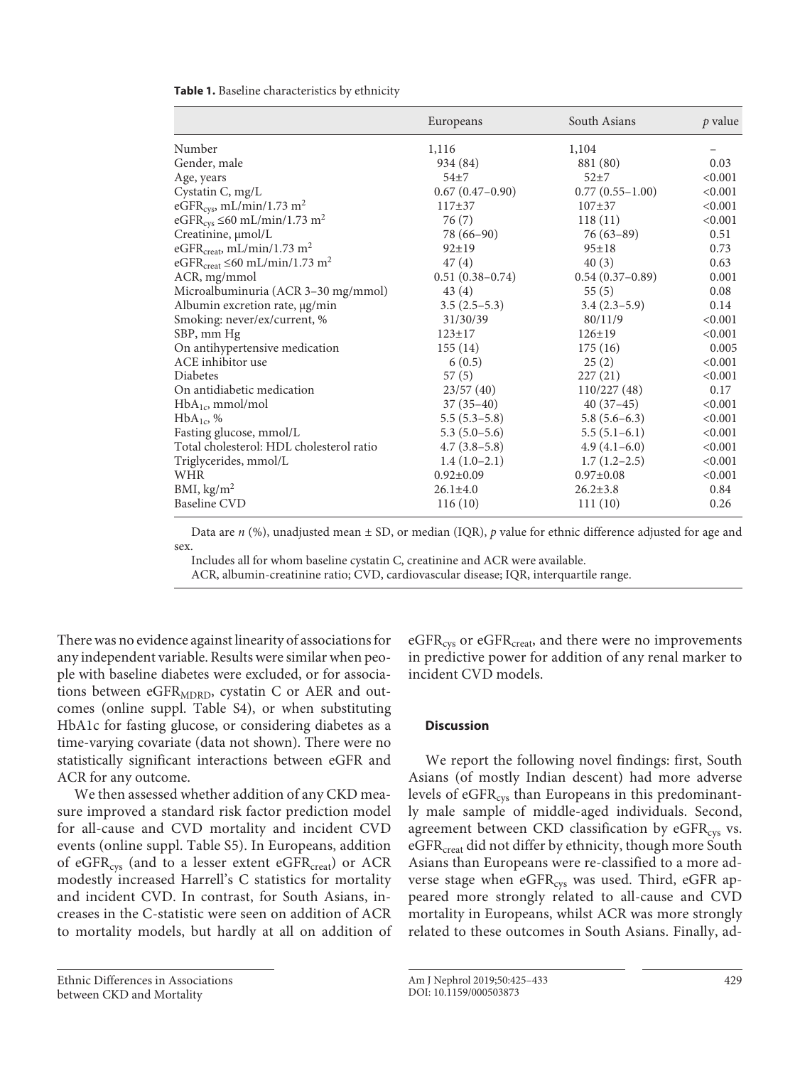|                                                            | Europeans           | South Asians      | p value |
|------------------------------------------------------------|---------------------|-------------------|---------|
| Number                                                     | 1,116               | 1,104             |         |
| Gender, male                                               | 934 (84)            | 881 (80)          | 0.03    |
| Age, years                                                 | $54 + 7$            | $52+7$            | < 0.001 |
| Cystatin C, mg/L                                           | $0.67(0.47-0.90)$   | $0.77(0.55-1.00)$ | < 0.001 |
| eGFR <sub>cys</sub> , mL/min/1.73 m <sup>2</sup>           | $117+37$            | $107 + 37$        | < 0.001 |
| eGFR <sub>cys</sub> $\leq 60$ mL/min/1.73 m <sup>2</sup>   | 76 (7)              | 118(11)           | < 0.001 |
| Creatinine, µmol/L                                         | 78 (66–90)          | $76(63-89)$       | 0.51    |
| eGFR <sub>creat</sub> , mL/min/1.73 m <sup>2</sup>         | $92 \pm 19$         | $95 \pm 18$       | 0.73    |
| eGFR <sub>creat</sub> $\leq 60$ mL/min/1.73 m <sup>2</sup> | 47(4)               | 40(3)             | 0.63    |
| ACR, mg/mmol                                               | $0.51(0.38 - 0.74)$ | $0.54(0.37-0.89)$ | 0.001   |
| Microalbuminuria (ACR 3-30 mg/mmol)                        | 43(4)               | 55(5)             | 0.08    |
| Albumin excretion rate, µg/min                             | $3.5(2.5-5.3)$      | $3.4(2.3-5.9)$    | 0.14    |
| Smoking: never/ex/current, %                               | 31/30/39            | 80/11/9           | < 0.001 |
| SBP, mm Hg                                                 | $123 \pm 17$        | $126 \pm 19$      | < 0.001 |
| On antihypertensive medication                             | 155(14)             | 175(16)           | 0.005   |
| ACE inhibitor use                                          | 6(0.5)              | 25(2)             | < 0.001 |
| <b>Diabetes</b>                                            | 57(5)               | 227(21)           | < 0.001 |
| On antidiabetic medication                                 | 23/57(40)           | 110/227(48)       | 0.17    |
| $HbA_{1c}$ , mmol/mol                                      | $37(35-40)$         | $40(37-45)$       | < 0.001 |
| $HbA_{1c}$ , %                                             | $5.5(5.3-5.8)$      | $5.8(5.6-6.3)$    | < 0.001 |
| Fasting glucose, mmol/L                                    | $5.3(5.0-5.6)$      | $5.5(5.1-6.1)$    | < 0.001 |
| Total cholesterol: HDL cholesterol ratio                   | $4.7(3.8-5.8)$      | $4.9(4.1-6.0)$    | < 0.001 |
| Triglycerides, mmol/L                                      | $1.4(1.0-2.1)$      | $1.7(1.2-2.5)$    | < 0.001 |
| WHR                                                        | $0.92 \pm 0.09$     | $0.97 \pm 0.08$   | < 0.001 |
| BMI, $\text{kg/m}^2$                                       | $26.1 \pm 4.0$      | $26.2 \pm 3.8$    | 0.84    |
| Baseline CVD                                               | 116(10)             | 111(10)           | 0.26    |

**Table 1.** Baseline characteristics by ethnicity

Data are *n* (%), unadjusted mean  $\pm$  SD, or median (IQR), *p* value for ethnic difference adjusted for age and sex.

Includes all for whom baseline cystatin C, creatinine and ACR were available.

ACR, albumin-creatinine ratio; CVD, cardiovascular disease; IQR, interquartile range.

There was no evidence against linearity of associations for any independent variable. Results were similar when people with baseline diabetes were excluded, or for associations between eGFR<sub>MDRD</sub>, cystatin C or AER and outcomes (online suppl. Table S4), or when substituting HbA1c for fasting glucose, or considering diabetes as a time-varying covariate (data not shown). There were no statistically significant interactions between eGFR and ACR for any outcome.

We then assessed whether addition of any CKD measure improved a standard risk factor prediction model for all-cause and CVD mortality and incident CVD events (online suppl. Table S5). In Europeans, addition of eGFR<sub>cys</sub> (and to a lesser extent eGFR<sub>creat</sub>) or ACR modestly increased Harrell's C statistics for mortality and incident CVD. In contrast, for South Asians, increases in the C-statistic were seen on addition of ACR to mortality models, but hardly at all on addition of

Ethnic Differences in Associations between CKD and Mortality

 $eGFR<sub>cvs</sub>$  or  $eGFR<sub>creat</sub>$ , and there were no improvements in predictive power for addition of any renal marker to incident CVD models.

## **Discussion**

We report the following novel findings: first, South Asians (of mostly Indian descent) had more adverse levels of  $eGFR_{\text{cys}}$  than Europeans in this predominantly male sample of middle-aged individuals. Second, agreement between CKD classification by  $eGFR<sub>cys</sub>$  vs. eGFR<sub>creat</sub> did not differ by ethnicity, though more South Asians than Europeans were re-classified to a more adverse stage when eGFR<sub>cys</sub> was used. Third, eGFR appeared more strongly related to all-cause and CVD mortality in Europeans, whilst ACR was more strongly related to these outcomes in South Asians. Finally, ad-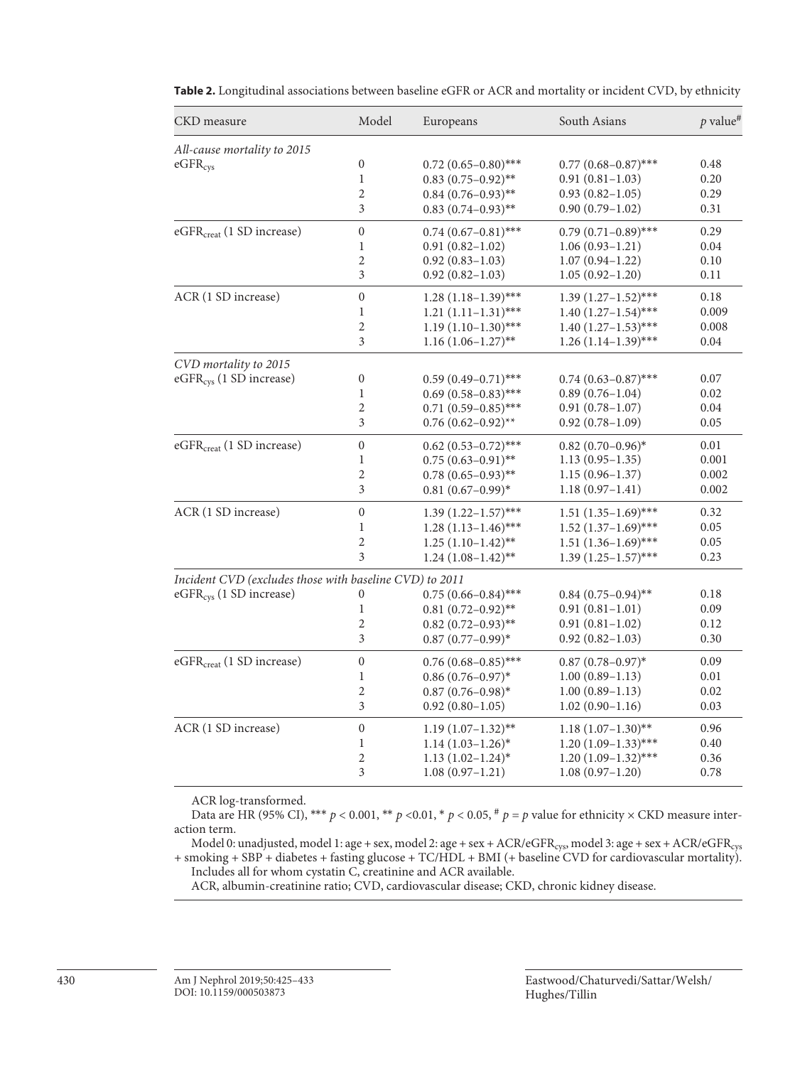| Model<br>South Asians<br>CKD measure<br>Europeans                                                                          | $p$ value <sup>#</sup> |
|----------------------------------------------------------------------------------------------------------------------------|------------------------|
| All-cause mortality to 2015                                                                                                |                        |
| $\boldsymbol{0}$<br>$0.77(0.68 - 0.87)$ ***<br>eGFR <sub>cys</sub><br>$0.72(0.65-0.80)$ ***                                | 0.48                   |
| $\mathbf{1}$<br>$0.91(0.81-1.03)$<br>$0.83$ $(0.75-0.92)$ **                                                               | 0.20                   |
| 2<br>$0.84(0.76-0.93)$ **<br>$0.93(0.82 - 1.05)$                                                                           | 0.29                   |
| 3<br>$0.90(0.79-1.02)$<br>$0.83(0.74-0.93)$ **                                                                             | 0.31                   |
| $\boldsymbol{0}$<br>eGFR <sub>creat</sub> (1 SD increase)<br>$0.79(0.71-0.89)$ ***<br>$0.74(0.67-0.81)$ ***                | 0.29                   |
| $\mathbf{1}$<br>$0.91(0.82 - 1.02)$<br>$1.06(0.93 - 1.21)$                                                                 | 0.04                   |
| $\overline{2}$<br>$0.92(0.83 - 1.03)$<br>$1.07(0.94 - 1.22)$                                                               | 0.10                   |
| 3<br>$0.92(0.82 - 1.03)$<br>$1.05(0.92 - 1.20)$                                                                            | 0.11                   |
| ACR (1 SD increase)<br>$\boldsymbol{0}$<br>$1.28(1.18-1.39)$ ***<br>$1.39(1.27-1.52)$ ***                                  | 0.18                   |
| $\mathbf{1}$<br>$1.40(1.27-1.54)$ ***<br>$1.21(1.11-1.31)$ ***                                                             | 0.009                  |
| $\overline{2}$<br>$1.19(1.10-1.30)$ ***<br>$1.40(1.27-1.53)$ ***                                                           | 0.008                  |
| 3<br>$1.16(1.06-1.27)$ **<br>$1.26(1.14-1.39)$ ***                                                                         | 0.04                   |
| CVD mortality to 2015                                                                                                      |                        |
| eGFR <sub>cys</sub> (1 SD increase)<br>$\boldsymbol{0}$<br>$0.59(0.49 - 0.71)$ ***<br>$0.74(0.63 - 0.87)$ ***              | 0.07                   |
| $\mathbf{1}$<br>$0.69(0.58 - 0.83)$ ***<br>$0.89(0.76 - 1.04)$                                                             | 0.02                   |
| $\sqrt{2}$<br>$0.71(0.59-0.85)$ ***<br>$0.91(0.78-1.07)$                                                                   | 0.04                   |
| $\mathfrak{Z}$<br>$0.76(0.62 - 0.92)$ **<br>$0.92(0.78 - 1.09)$                                                            | 0.05                   |
| eGFR <sub>creat</sub> (1 SD increase)<br>$\boldsymbol{0}$<br>$0.62$ $(0.53 - 0.72)$ ***<br>$0.82~(0.70-0.96)$ <sup>*</sup> | 0.01                   |
| $\mathbf{1}$<br>$0.75(0.63 - 0.91)$ **<br>$1.13(0.95-1.35)$                                                                | 0.001                  |
| 2<br>$1.15(0.96 - 1.37)$<br>$0.78(0.65-0.93)$ **                                                                           | 0.002                  |
| 3<br>$0.81(0.67-0.99)$ *<br>$1.18(0.97-1.41)$                                                                              | 0.002                  |
| ACR (1 SD increase)<br>$\boldsymbol{0}$<br>$1.39(1.22 - 1.57)$ ***<br>$1.51(1.35-1.69)$ ***                                | 0.32                   |
| $\mathbf{1}$<br>$1.52(1.37-1.69)$ ***<br>$1.28(1.13-1.46)$ ***                                                             | 0.05                   |
| $\overline{2}$<br>$1.51(1.36-1.69)$ ***<br>$1.25(1.10-1.42)$ <sup>**</sup>                                                 | 0.05                   |
| 3<br>$1.24(1.08-1.42)$ **<br>$1.39(1.25-1.57)$ ***                                                                         | 0.23                   |
| Incident CVD (excludes those with baseline CVD) to 2011                                                                    |                        |
| eGFR <sub>cys</sub> (1 SD increase)<br>$0.75(0.66 - 0.84)$ ***<br>$0.84(0.75-0.94)$ **<br>$\boldsymbol{0}$                 | 0.18                   |
| $\mathbf{1}$<br>$0.91(0.81 - 1.01)$<br>$0.81(0.72 - 0.92)$ **                                                              | 0.09                   |
| 2<br>$0.91(0.81 - 1.02)$<br>$0.82(0.72-0.93)$ **                                                                           | 0.12                   |
| 3<br>$0.92(0.82 - 1.03)$<br>$0.87(0.77-0.99)*$                                                                             | 0.30                   |
| $\boldsymbol{0}$<br>eGFR <sub>creat</sub> (1 SD increase)<br>$0.76$ $(0.68 - 0.85)$ ***<br>$0.87(0.78 - 0.97)^*$           | 0.09                   |
| $\mathbf{1}$<br>$1.00(0.89-1.13)$<br>$0.86(0.76-0.97)^*$                                                                   | 0.01                   |
| $\overline{2}$<br>$0.87(0.76 - 0.98)^*$<br>$1.00(0.89 - 1.13)$                                                             | 0.02                   |
| 3<br>$0.92(0.80-1.05)$<br>$1.02(0.90-1.16)$                                                                                | 0.03                   |
| ACR (1 SD increase)<br>$\boldsymbol{0}$<br>$1.18(1.07-1.30)$ **<br>$1.19(1.07-1.32)$ **                                    | 0.96                   |
| $1.20(1.09-1.33)$ ***<br>$\mathbf{1}$<br>$1.14(1.03-1.26)$ *                                                               | 0.40                   |
| $\overline{2}$<br>$1.20(1.09-1.32)$ ***<br>$1.13(1.02-1.24)^*$                                                             | 0.36                   |
| 3<br>$1.08(0.97-1.21)$<br>$1.08(0.97-1.20)$                                                                                | 0.78                   |

**Table 2.** Longitudinal associations between baseline eGFR or ACR and mortality or incident CVD, by ethnicity

ACR log-transformed.

Data are HR (95% CI), \*\*\*  $p < 0.001$ , \*\*  $p < 0.01$ , \*  $p < 0.05$ ,  $\# p = p$  value for ethnicity  $\times$  CKD measure interaction term.

Model 0: unadjusted, model 1: age + sex, model 2: age + sex + ACR/eGFRcys, model 3: age + sex + ACR/eGFRcys + smoking + SBP + diabetes + fasting glucose + TC/HDL + BMI (+ baseline CVD for cardiovascular mortality). Includes all for whom cystatin C, creatinine and ACR available.

ACR, albumin-creatinine ratio; CVD, cardiovascular disease; CKD, chronic kidney disease.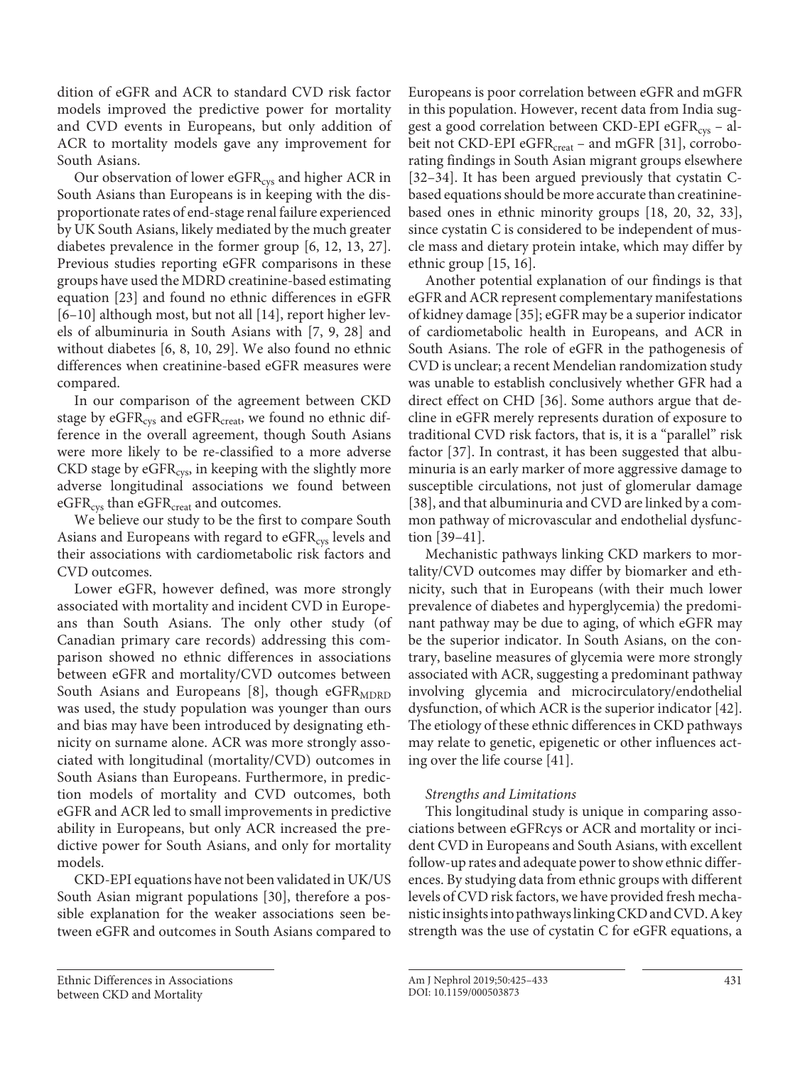dition of eGFR and ACR to standard CVD risk factor models improved the predictive power for mortality and CVD events in Europeans, but only addition of ACR to mortality models gave any improvement for South Asians.

Our observation of lower eGFR<sub>cys</sub> and higher ACR in South Asians than Europeans is in keeping with the disproportionate rates of end-stage renal failure experienced by UK South Asians, likely mediated by the much greater diabetes prevalence in the former group [\[6](#page-7-5), [1](#page-7-0)[2,](#page-7-1) [1](#page-7-0)[3](#page-7-2), [2](#page-7-1)[7\]](#page-8-1). Previous studies reporting eGFR comparisons in these groups have used the MDRD creatinine-based estimating equation [[2](#page-7-1)[3](#page-7-2)] and found no ethnic differences in eGFR [\[6–](#page-7-5)[10](#page-7-0)] although most, but not all [\[1](#page-7-0)[4\]](#page-7-3), report higher levels of albuminuria in South Asians with [[7](#page-8-1), [9,](#page-8-2) [2](#page-7-1)[8\]](#page-8-0) and without diabetes [[6](#page-7-5), [8](#page-8-0), [10](#page-7-0), [2](#page-7-1)[9](#page-8-2)]. We also found no ethnic differences when creatinine-based eGFR measures were compared.

In our comparison of the agreement between CKD stage by eGFR<sub>cys</sub> and eGFR<sub>creat</sub>, we found no ethnic difference in the overall agreement, though South Asians were more likely to be re-classified to a more adverse  $CKD$  stage by  $eGFR_{\text{cys}}$  in keeping with the slightly more adverse longitudinal associations we found between eGFR<sub>cys</sub> than eGFR<sub>creat</sub> and outcomes.

We believe our study to be the first to compare South Asians and Europeans with regard to eGFR<sub>cys</sub> levels and their associations with cardiometabolic risk factors and CVD outcomes.

Lower eGFR, however defined, was more strongly associated with mortality and incident CVD in Europeans than South Asians. The only other study (of Canadian primary care records) addressing this comparison showed no ethnic differences in associations between eGFR and mortality/CVD outcomes between South Asians and Europeans  $[8]$  $[8]$  $[8]$ , though eGFR<sub>MDRD</sub> was used, the study population was younger than ours and bias may have been introduced by designating ethnicity on surname alone. ACR was more strongly associated with longitudinal (mortality/CVD) outcomes in South Asians than Europeans. Furthermore, in prediction models of mortality and CVD outcomes, both eGFR and ACR led to small improvements in predictive ability in Europeans, but only ACR increased the predictive power for South Asians, and only for mortality models.

CKD-EPI equations have not been validated in UK/US South Asian migrant populations [[30](#page-7-2)], therefore a possible explanation for the weaker associations seen between eGFR and outcomes in South Asians compared to

Ethnic Differences in Associations between CKD and Mortality

<span id="page-6-5"></span><span id="page-6-4"></span>Europeans is poor correlation between eGFR and mGFR in this population. However, recent data from India suggest a good correlation between CKD-EPI eGFR<sub>cys</sub> - albeit not CKD-EPI eGFR $_{\text{create}}$  – and mGFR [[3](#page-7-2)[1\]](#page-7-0), corroborating findings in South Asian migrant groups elsewhere [[3](#page-7-2)[2](#page-7-1)[–3](#page-7-2)[4\]](#page-7-3). It has been argued previously that cystatin Cbased equations should be more accurate than creatininebased ones in ethnic minority groups [\[1](#page-7-0)[8,](#page-8-0) [20](#page-7-1), [3](#page-7-2)[2](#page-7-1), [33](#page-7-2)], since cystatin C is considered to be independent of muscle mass and dietary protein intake, which may differ by ethnic group [[1](#page-7-0)[5](#page-7-4), [1](#page-7-0)[6\]](#page-7-5).

<span id="page-6-2"></span><span id="page-6-1"></span><span id="page-6-0"></span>Another potential explanation of our findings is that eGFR and ACR represent complementary manifestations of kidney damage [\[3](#page-7-2)[5\]](#page-7-4); eGFR may be a superior indicator of cardiometabolic health in Europeans, and ACR in South Asians. The role of eGFR in the pathogenesis of CVD is unclear; a recent Mendelian randomization study was unable to establish conclusively whether GFR had a direct effect on CHD [\[3](#page-7-2)[6\]](#page-7-5). Some authors argue that decline in eGFR merely represents duration of exposure to traditional CVD risk factors, that is, it is a "parallel" risk factor [[3](#page-7-2)[7](#page-8-1)]. In contrast, it has been suggested that albuminuria is an early marker of more aggressive damage to susceptible circulations, not just of glomerular damage [[3](#page-7-2)[8](#page-8-0)], and that albuminuria and CVD are linked by a common pathway of microvascular and endothelial dysfunction [\[3](#page-7-2)[9–](#page-8-2)[4](#page-7-3)[1](#page-7-0)].

Mechanistic pathways linking CKD markers to mortality/CVD outcomes may differ by biomarker and ethnicity, such that in Europeans (with their much lower prevalence of diabetes and hyperglycemia) the predominant pathway may be due to aging, of which eGFR may be the superior indicator. In South Asians, on the contrary, baseline measures of glycemia were more strongly associated with ACR, suggesting a predominant pathway involving glycemia and microcirculatory/endothelial dysfunction, of which ACR is the superior indicator [[4](#page-7-3)[2](#page-7-1)]. The etiology of these ethnic differences in CKD pathways may relate to genetic, epigenetic or other influences acting over the life course [\[4](#page-7-3)[1\]](#page-7-0).

## *Strengths and Limitations*

<span id="page-6-3"></span>This longitudinal study is unique in comparing associations between eGFRcys or ACR and mortality or incident CVD in Europeans and South Asians, with excellent follow-up rates and adequate power to show ethnic differences. By studying data from ethnic groups with different levels of CVD risk factors, we have provided fresh mechanistic insights into pathways linking CKD and CVD. A key strength was the use of cystatin C for eGFR equations, a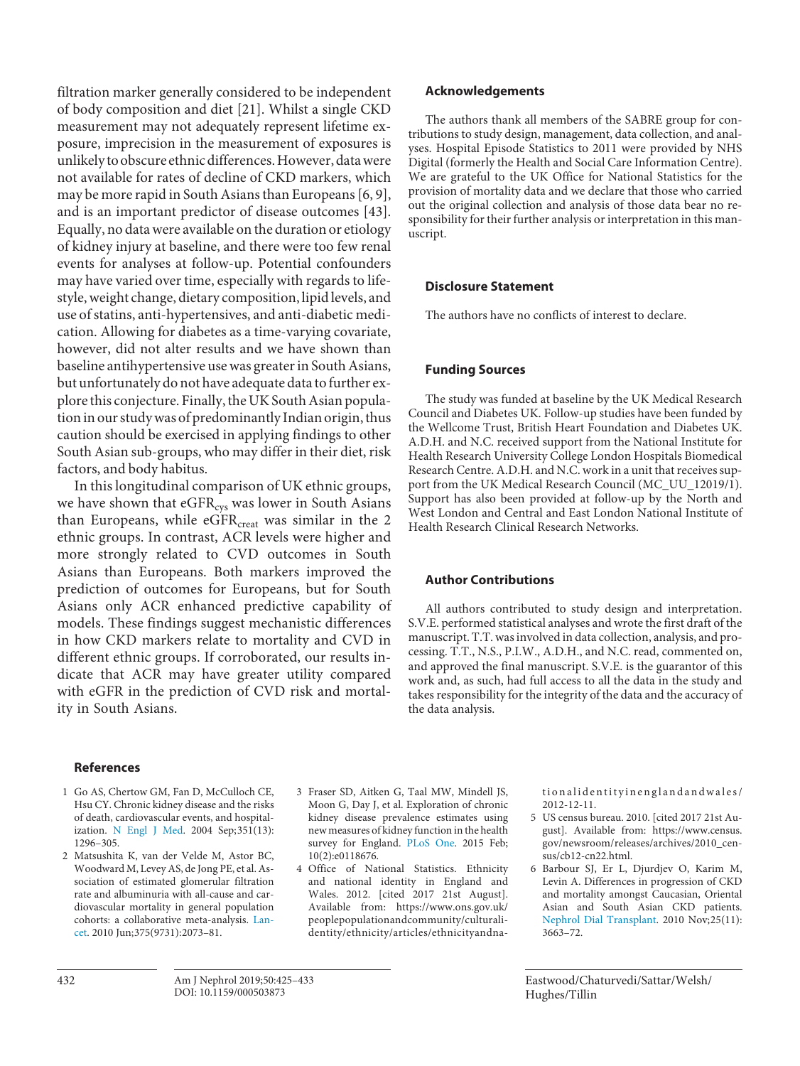filtration marker generally considered to be independent of body composition and diet [\[2](#page-7-1)[1\]](#page-7-0). Whilst a single CKD measurement may not adequately represent lifetime exposure, imprecision in the measurement of exposures is unlikely to obscure ethnic differences. However, data were not available for rates of decline of CKD markers, which may be more rapid in South Asians than Europeans [\[6](#page-7-5), [9\]](#page-8-2), and is an important predictor of disease outcomes [\[4](#page-7-3)[3\]](#page-7-2). Equally, no data were available on the duration or etiology of kidney injury at baseline, and there were too few renal events for analyses at follow-up. Potential confounders may have varied over time, especially with regards to lifestyle, weight change, dietary composition, lipid levels, and use of statins, anti-hypertensives, and anti-diabetic medication. Allowing for diabetes as a time-varying covariate, however, did not alter results and we have shown than baseline antihypertensive use was greater in South Asians, but unfortunately do not have adequate data to further explore this conjecture. Finally, the UK South Asian population in our study was of predominantly Indian origin, thus caution should be exercised in applying findings to other South Asian sub-groups, who may differ in their diet, risk factors, and body habitus.

In this longitudinal comparison of UK ethnic groups, we have shown that  $eGFR_{\text{cys}}$  was lower in South Asians than Europeans, while  $eGFR_{\text{creat}}$  was similar in the 2 ethnic groups. In contrast, ACR levels were higher and more strongly related to CVD outcomes in South Asians than Europeans. Both markers improved the prediction of outcomes for Europeans, but for South Asians only ACR enhanced predictive capability of models. These findings suggest mechanistic differences in how CKD markers relate to mortality and CVD in different ethnic groups. If corroborated, our results indicate that ACR may have greater utility compared with eGFR in the prediction of CVD risk and mortality in South Asians.

## **References**

- <span id="page-7-0"></span>[1](#page-0-0) Go AS, Chertow GM, Fan D, McCulloch CE, Hsu CY. Chronic kidney disease and the risks of death, cardiovascular events, and hospital-ization. [N Engl J Med](https://www.karger.com/Article/FullText/0?ref=1#ref1). 2004 Sep;  $351(13)$ : 1296–305.
- <span id="page-7-1"></span>[2](#page-0-0) Matsushita K, van der Velde M, Astor BC, Woodward M, Levey AS, de Jong PE, et al. Association of estimated glomerular filtration rate and albuminuria with all-cause and cardiovascular mortality in general population cohorts: a collaborative meta-analysis. [Lan](https://www.karger.com/Article/FullText/0?ref=2#ref2)[cet.](https://www.karger.com/Article/FullText/0?ref=2#ref2) 2010 Jun;375(9731):2073–81.
- <span id="page-7-2"></span>[3](#page-0-1) Fraser SD, Aitken G, Taal MW, Mindell JS, Moon G, Day J, et al. Exploration of chronic kidney disease prevalence estimates using new measures of kidney function in the health survey for England. [PLoS One](https://www.karger.com/Article/FullText/0?ref=3#ref3). 2015 Feb; 10(2):e0118676.
- <span id="page-7-3"></span>[4](#page-1-0) Office of National Statistics. Ethnicity and national identity in England and Wales. 2012. [cited 2017 21st August]. Available from: https://www.ons.gov.uk/ peoplepopulationandcommunity/culturalidentity/ethnicity/articles/ethnicityandna-

tionalidentityinenglandandwales/ 2012-12-11.

- <span id="page-7-4"></span>[5](#page-1-1) US census bureau. 2010. [cited 2017 21st August]. Available from: https://www.census. gov/newsroom/releases/archives/2010\_census/cb12-cn22.html.
- <span id="page-7-5"></span>[6](#page-1-2) Barbour SJ, Er L, Djurdjev O, Karim M, Levin A. Differences in progression of CKD and mortality amongst Caucasian, Oriental Asian and South Asian CKD patients. [Nephrol Dial Transplant.](https://www.karger.com/Article/FullText/0?ref=6#ref6) 2010 Nov;25(11): 3663–72.

#### Eastwood/Chaturvedi/Sattar/Welsh/ Hughes/Tillin

**Acknowledgements**

The authors thank all members of the SABRE group for contributions to study design, management, data collection, and analyses. Hospital Episode Statistics to 2011 were provided by NHS Digital (formerly the Health and Social Care Information Centre). We are grateful to the UK Office for National Statistics for the provision of mortality data and we declare that those who carried out the original collection and analysis of those data bear no responsibility for their further analysis or interpretation in this manuscript.

## **Disclosure Statement**

The authors have no conflicts of interest to declare.

## **Funding Sources**

The study was funded at baseline by the UK Medical Research Council and Diabetes UK. Follow-up studies have been funded by the Wellcome Trust, British Heart Foundation and Diabetes UK. A.D.H. and N.C. received support from the National Institute for Health Research University College London Hospitals Biomedical Research Centre. A.D.H. and N.C. work in a unit that receives support from the UK Medical Research Council (MC\_UU\_12019/1). Support has also been provided at follow-up by the North and West London and Central and East London National Institute of Health Research Clinical Research Networks.

## **Author Contributions**

All authors contributed to study design and interpretation. S.V.E. performed statistical analyses and wrote the first draft of the manuscript. T.T. was involved in data collection, analysis, and processing. T.T., N.S., P.I.W., A.D.H., and N.C. read, commented on, and approved the final manuscript. S.V.E. is the guarantor of this work and, as such, had full access to all the data in the study and takes responsibility for the integrity of the data and the accuracy of the data analysis.